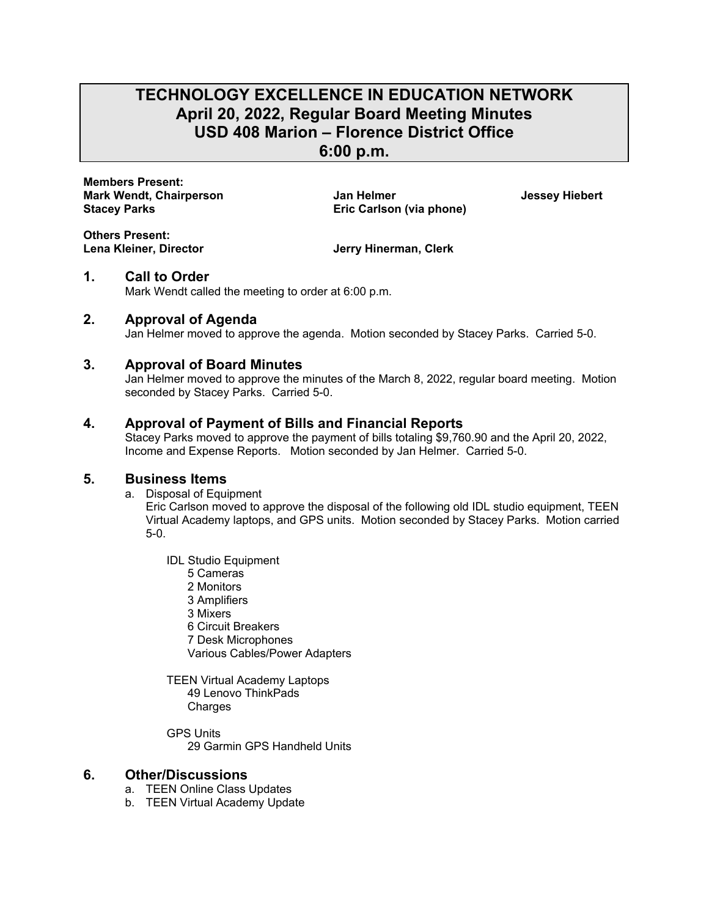# **TECHNOLOGY EXCELLENCE IN EDUCATION NETWORK April 20, 2022, Regular Board Meeting Minutes USD 408 Marion – Florence District Office**

**6:00 p.m.** 

**Members Present: Mark Wendt, Chairperson Jan Helmer Jessey Hiebert**  Stacey Parks **Eric Carlson (via phone) Eric Carlson (via phone)** 

**Others Present:** 

**Jerry Hinerman, Clerk** 

## **1. Call to Order**

Mark Wendt called the meeting to order at 6:00 p.m.

## **2. Approval of Agenda**

Jan Helmer moved to approve the agenda. Motion seconded by Stacey Parks. Carried 5-0.

#### **3. Approval of Board Minutes**

Jan Helmer moved to approve the minutes of the March 8, 2022, regular board meeting. Motion seconded by Stacey Parks. Carried 5-0.

## **4. Approval of Payment of Bills and Financial Reports**

Stacey Parks moved to approve the payment of bills totaling \$9,760.90 and the April 20, 2022, Income and Expense Reports. Motion seconded by Jan Helmer. Carried 5-0.

#### **5. Business Items**

a. Disposal of Equipment

Eric Carlson moved to approve the disposal of the following old IDL studio equipment, TEEN Virtual Academy laptops, and GPS units. Motion seconded by Stacey Parks. Motion carried 5-0.

- IDL Studio Equipment
	- 5 Cameras
	- 2 Monitors
	- 3 Amplifiers
	- 3 Mixers
	- 6 Circuit Breakers
	- 7 Desk Microphones

Various Cables/Power Adapters

- TEEN Virtual Academy Laptops 49 Lenovo ThinkPads **Charges**
- GPS Units 29 Garmin GPS Handheld Units

## **6. Other/Discussions**

- a. TEEN Online Class Updates
- b. TEEN Virtual Academy Update